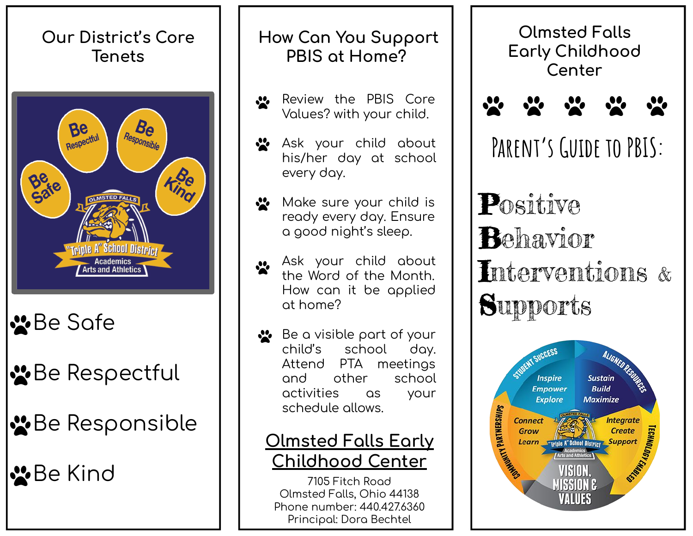

# ₩Be Safe

# *W* Be Respectful

## *N* Be Responsible

**S**Be Kind

#### **How Can You Support PBIS at Home?**

- Review the PBIS Core  $\cdot$ Values? with your child.
- Ask your child about his/her day at school every day.
- $\cdot$ Make sure your child is ready every day. Ensure a good night's sleep.
- Ask your child about  $\mathbf{C}$ the Word of the Month. How can it be applied at home?
- ↓ Be a visible part of your child's school day. Attend PTA meetings and other school activities as your schedule allows.

### **Olmsted Falls Early Childhood Center**

7105 Fitch Road Olmsted Falls, Ohio 44138 Phone number: 440.427.6360 Principal: Dora Bechtel

**Olmsted Falls Early Childhood Center**



**Parent's Guide to PBIS:**

Positive Behavior Interventions & **Supports**